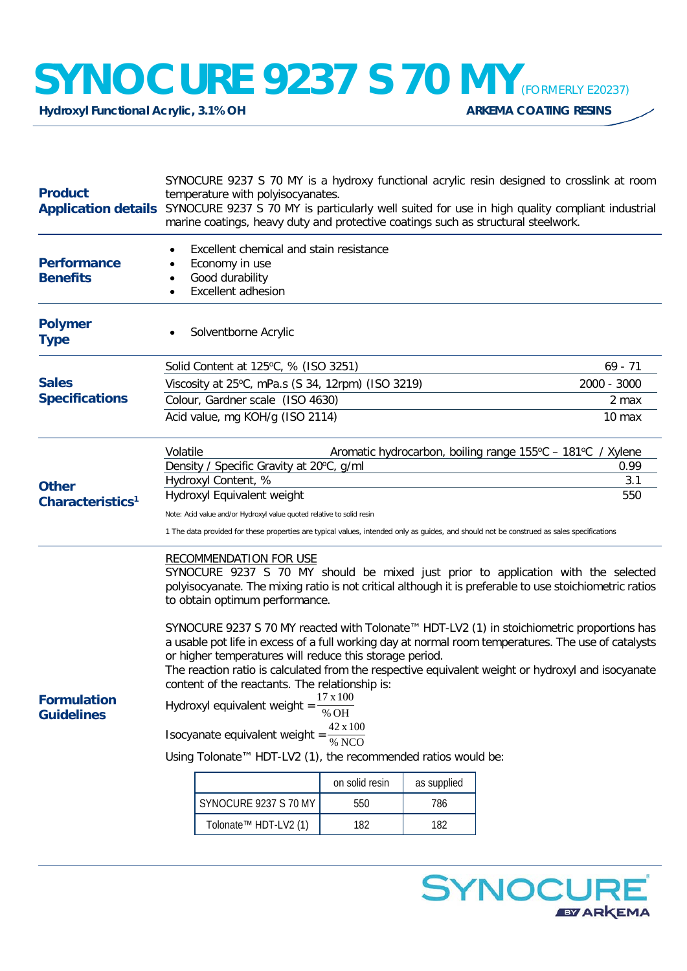## **SYNOCURE 9237 S 70 MY** *(FORMERLY E20237)*<br>Hydroxyl Functional Acrylic, 3.1% OH

**Hydroxyl Functional Acrylic, 3.1% OH** 

| <b>Product</b>                               | SYNOCURE 9237 S 70 MY is a hydroxy functional acrylic resin designed to crosslink at room<br>temperature with polyisocyanates.<br>Application details SYNOCURE 9237 S 70 MY is particularly well suited for use in high quality compliant industrial<br>marine coatings, heavy duty and protective coatings such as structural steelwork.                                                                                                                                                                                                                                                                                                                                                                                                                                                                                                                                                                                  |             |     |  |  |
|----------------------------------------------|----------------------------------------------------------------------------------------------------------------------------------------------------------------------------------------------------------------------------------------------------------------------------------------------------------------------------------------------------------------------------------------------------------------------------------------------------------------------------------------------------------------------------------------------------------------------------------------------------------------------------------------------------------------------------------------------------------------------------------------------------------------------------------------------------------------------------------------------------------------------------------------------------------------------------|-------------|-----|--|--|
| <b>Performance</b><br><b>Benefits</b>        | Excellent chemical and stain resistance<br>$\bullet$<br>Economy in use<br>$\bullet$<br>Good durability<br>$\bullet$<br>Excellent adhesion<br>$\bullet$                                                                                                                                                                                                                                                                                                                                                                                                                                                                                                                                                                                                                                                                                                                                                                     |             |     |  |  |
| <b>Polymer</b><br><b>Type</b>                | Solventborne Acrylic                                                                                                                                                                                                                                                                                                                                                                                                                                                                                                                                                                                                                                                                                                                                                                                                                                                                                                       |             |     |  |  |
| <b>Sales</b><br><b>Specifications</b>        | Solid Content at 125°C, % (ISO 3251)                                                                                                                                                                                                                                                                                                                                                                                                                                                                                                                                                                                                                                                                                                                                                                                                                                                                                       | $69 - 71$   |     |  |  |
|                                              | Viscosity at 25°C, mPa.s (S 34, 12rpm) (ISO 3219)                                                                                                                                                                                                                                                                                                                                                                                                                                                                                                                                                                                                                                                                                                                                                                                                                                                                          | 2000 - 3000 |     |  |  |
|                                              | Colour, Gardner scale (ISO 4630)                                                                                                                                                                                                                                                                                                                                                                                                                                                                                                                                                                                                                                                                                                                                                                                                                                                                                           | 2 max       |     |  |  |
|                                              | Acid value, mg KOH/g (ISO 2114)                                                                                                                                                                                                                                                                                                                                                                                                                                                                                                                                                                                                                                                                                                                                                                                                                                                                                            | 10 max      |     |  |  |
| <b>Other</b><br>Characteristics <sup>1</sup> | Volatile<br>Aromatic hydrocarbon, boiling range 155°C - 181°C / Xylene                                                                                                                                                                                                                                                                                                                                                                                                                                                                                                                                                                                                                                                                                                                                                                                                                                                     |             |     |  |  |
|                                              | Density / Specific Gravity at 20°C, g/ml<br>Hydroxyl Content, %                                                                                                                                                                                                                                                                                                                                                                                                                                                                                                                                                                                                                                                                                                                                                                                                                                                            | 0.99<br>3.1 |     |  |  |
|                                              | Hydroxyl Equivalent weight                                                                                                                                                                                                                                                                                                                                                                                                                                                                                                                                                                                                                                                                                                                                                                                                                                                                                                 | 550         |     |  |  |
|                                              | Note: Acid value and/or Hydroxyl value quoted relative to solid resin                                                                                                                                                                                                                                                                                                                                                                                                                                                                                                                                                                                                                                                                                                                                                                                                                                                      |             |     |  |  |
|                                              | 1 The data provided for these properties are typical values, intended only as guides, and should not be construed as sales specifications                                                                                                                                                                                                                                                                                                                                                                                                                                                                                                                                                                                                                                                                                                                                                                                  |             |     |  |  |
| <b>Formulation</b><br><b>Guidelines</b>      | <b>RECOMMENDATION FOR USE</b><br>SYNOCURE 9237 S 70 MY should be mixed just prior to application with the selected<br>polyisocyanate. The mixing ratio is not critical although it is preferable to use stoichiometric ratios<br>to obtain optimum performance.<br>SYNOCURE 9237 S 70 MY reacted with Tolonate™ HDT-LV2 (1) in stoichiometric proportions has<br>a usable pot life in excess of a full working day at normal room temperatures. The use of catalysts<br>or higher temperatures will reduce this storage period.<br>The reaction ratio is calculated from the respective equivalent weight or hydroxyl and isocyanate<br>content of the reactants. The relationship is:<br>$17 \times 100$<br>Hydroxyl equivalent weight $=$<br>% OH<br>42 x 100<br>Isocyanate equivalent weight =<br>$\overline{\% NCO}$<br>Using Tolonate™ HDT-LV2 (1), the recommended ratios would be:<br>on solid resin<br>as supplied |             |     |  |  |
|                                              | SYNOCURE 9237 S 70 MY                                                                                                                                                                                                                                                                                                                                                                                                                                                                                                                                                                                                                                                                                                                                                                                                                                                                                                      | 550         | 786 |  |  |
|                                              | Tolonate™ HDT-LV2 (1)                                                                                                                                                                                                                                                                                                                                                                                                                                                                                                                                                                                                                                                                                                                                                                                                                                                                                                      | 182         | 182 |  |  |